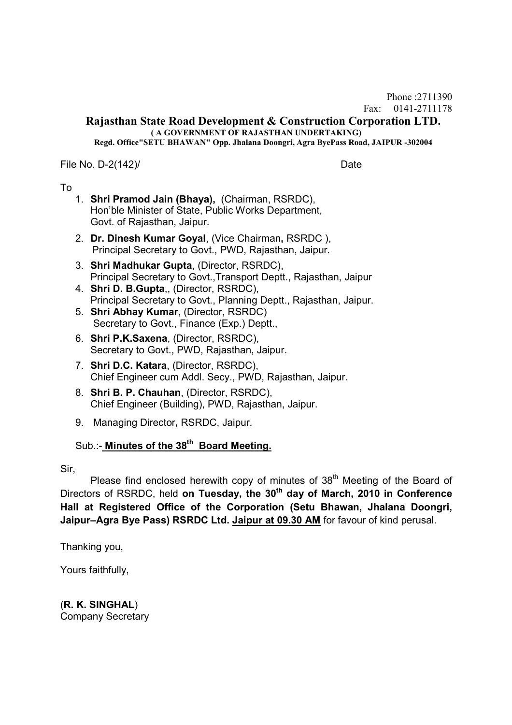Phone :2711390 Fax: 0141-2711178

#### **Rajasthan State Road Development & Construction Corporation LTD. ( A GOVERNMENT OF RAJASTHAN UNDERTAKING)**

**Regd. Office"SETU BHAWAN" Opp. Jhalana Doongri, Agra ByePass Road, JAIPUR -302004**

File No. D-2(142)/ Date

## To

- 1. **Shri Pramod Jain (Bhaya),** (Chairman, RSRDC), Hon'ble Minister of State, Public Works Department, Govt. of Rajasthan, Jaipur.
- 2. **Dr. Dinesh Kumar Goyal**, (Vice Chairman**,** RSRDC ), Principal Secretary to Govt., PWD, Rajasthan, Jaipur.
- 3. **Shri Madhukar Gupta**, (Director, RSRDC), Principal Secretary to Govt.,Transport Deptt., Rajasthan, Jaipur
- 4. **Shri D. B.Gupta**,, (Director, RSRDC), Principal Secretary to Govt., Planning Deptt., Rajasthan, Jaipur.
- 5. **Shri Abhay Kumar**, (Director, RSRDC) Secretary to Govt., Finance (Exp.) Deptt.,
- 6. **Shri P.K.Saxena**, (Director, RSRDC), Secretary to Govt., PWD, Rajasthan, Jaipur.
- 7. **Shri D.C. Katara**, (Director, RSRDC), Chief Engineer cum Addl. Secy., PWD, Rajasthan, Jaipur.
- 8. **Shri B. P. Chauhan**, (Director, RSRDC), Chief Engineer (Building), PWD, Rajasthan, Jaipur.
- 9. Managing Director**,** RSRDC, Jaipur.

## Sub.:- **Minutes of the 38th Board Meeting.**

Sir,

Please find enclosed herewith copy of minutes of  $38<sup>th</sup>$  Meeting of the Board of Directors of RSRDC, held **on Tuesday, the 30th day of March, 2010 in Conference Hall at Registered Office of the Corporation (Setu Bhawan, Jhalana Doongri, Jaipur–Agra Bye Pass) RSRDC Ltd. Jaipur at 09.30 AM** for favour of kind perusal.

Thanking you,

Yours faithfully,

(**R. K. SINGHAL**) Company Secretary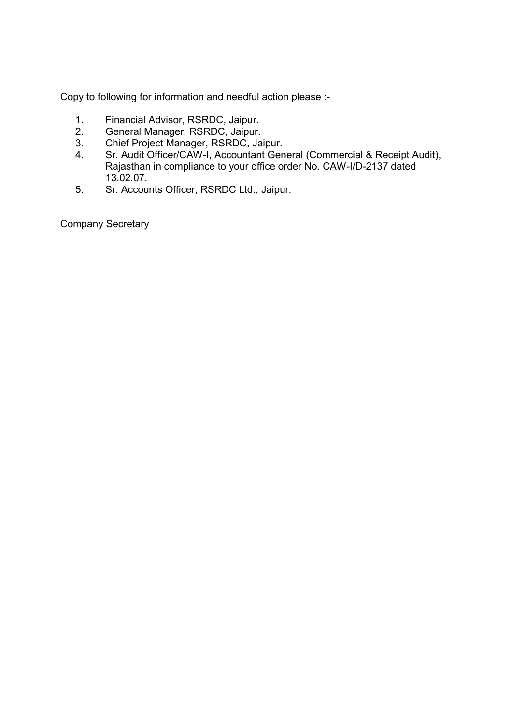Copy to following for information and needful action please :-

- 1. Financial Advisor, RSRDC, Jaipur.
- 2. General Manager, RSRDC, Jaipur.
- 3. Chief Project Manager, RSRDC, Jaipur.
- 4. Sr. Audit Officer/CAW-I, Accountant General (Commercial & Receipt Audit), Rajasthan in compliance to your office order No. CAW-I/D-2137 dated 13.02.07.
- 5. Sr. Accounts Officer, RSRDC Ltd., Jaipur.

Company Secretary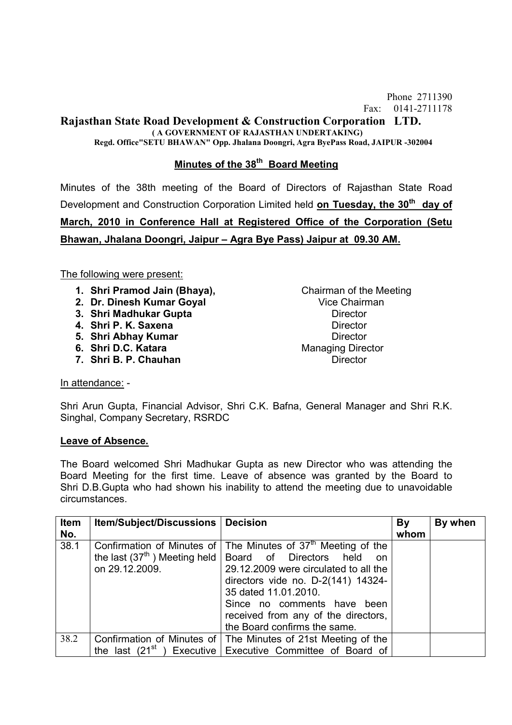Phone 2711390 Fax: 0141-2711178

# **Rajasthan State Road Development & Construction Corporation LTD.**

 **( A GOVERNMENT OF RAJASTHAN UNDERTAKING)**

**Regd. Office"SETU BHAWAN" Opp. Jhalana Doongri, Agra ByePass Road, JAIPUR -302004**

## **Minutes of the 38th Board Meeting**

Minutes of the 38th meeting of the Board of Directors of Rajasthan State Road Development and Construction Corporation Limited held **on Tuesday, the 30th day of March, 2010 in Conference Hall at Registered Office of the Corporation (Setu Bhawan, Jhalana Doongri, Jaipur – Agra Bye Pass) Jaipur at 09.30 AM.**

The following were present:

- **1. Shri Pramod Jain (Bhaya),** Chairman of the Meeting
- **2. Dr. Dinesh Kumar Goval Vice Chairman**
- **3. Shri Madhukar Gupta Director**
- **4. Shri P. K. Saxena** Director
- **5. Shri Abhay Kumar Director**
- **6. Shri D.C. Katara** Managing Director
- **7. Shri B. P. Chauhan Director Director**

In attendance: -

Shri Arun Gupta, Financial Advisor, Shri C.K. Bafna, General Manager and Shri R.K. Singhal, Company Secretary, RSRDC

## **Leave of Absence.**

The Board welcomed Shri Madhukar Gupta as new Director who was attending the Board Meeting for the first time. Leave of absence was granted by the Board to Shri D.B.Gupta who had shown his inability to attend the meeting due to unavoidable circumstances.

| Item<br>No. | <b>Item/Subject/Discussions   Decision</b> |                                                                                   | By<br>whom | By when |
|-------------|--------------------------------------------|-----------------------------------------------------------------------------------|------------|---------|
|             |                                            |                                                                                   |            |         |
| 38.1        |                                            | Confirmation of Minutes of $\vert$ The Minutes of 37 <sup>th</sup> Meeting of the |            |         |
|             |                                            | the last $(37th)$ Meeting held   Board of Directors held on                       |            |         |
|             | on 29.12.2009.                             | 29.12.2009 were circulated to all the                                             |            |         |
|             |                                            | directors vide no. D-2(141) 14324-                                                |            |         |
|             |                                            | 35 dated 11.01.2010.                                                              |            |         |
|             |                                            | Since no comments have<br>been                                                    |            |         |
|             |                                            | received from any of the directors,                                               |            |         |
|             |                                            | the Board confirms the same.                                                      |            |         |
| 38.2        |                                            | Confirmation of Minutes of   The Minutes of 21st Meeting of the                   |            |         |
|             |                                            | the last $(21^{st})$ Executive Executive Committee of Board of                    |            |         |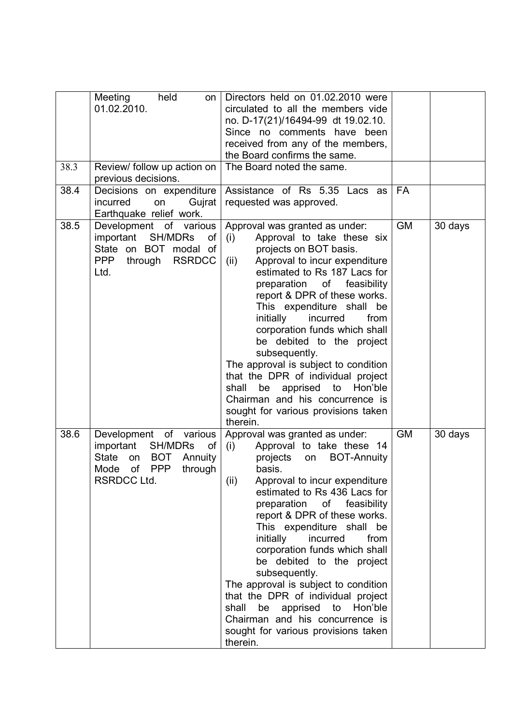| 38.3<br>38.4 | Meeting<br>held<br>on<br>01.02.2010.<br>Review/ follow up action on<br>previous decisions.<br>Decisions on expenditure<br>incurred<br>Gujrat<br>on<br>Earthquake relief work. | Directors held on 01.02.2010 were<br>circulated to all the members vide<br>no. D-17(21)/16494-99 dt 19.02.10.<br>Since no comments have<br>been<br>received from any of the members,<br>the Board confirms the same.<br>The Board noted the same.<br>Assistance of Rs 5.35 Lacs as<br>requested was approved.                                                                                                                                                                                                                                                                                                            | FA        |         |
|--------------|-------------------------------------------------------------------------------------------------------------------------------------------------------------------------------|--------------------------------------------------------------------------------------------------------------------------------------------------------------------------------------------------------------------------------------------------------------------------------------------------------------------------------------------------------------------------------------------------------------------------------------------------------------------------------------------------------------------------------------------------------------------------------------------------------------------------|-----------|---------|
| 38.5         | Development of various<br>important SH/MDRs<br>of<br>State on BOT modal of<br><b>PPP</b><br><b>RSRDCC</b><br>through<br>Ltd.                                                  | Approval was granted as under:<br>Approval to take these six<br>(i)<br>projects on BOT basis.<br>Approval to incur expenditure<br>(ii)<br>estimated to Rs 187 Lacs for<br>preparation of feasibility<br>report & DPR of these works.<br>This expenditure shall be<br>initially<br>incurred<br>from<br>corporation funds which shall<br>be debited to the project<br>subsequently.<br>The approval is subject to condition<br>that the DPR of individual project<br>apprised to<br>Hon'ble<br>shall<br>be<br>Chairman and his concurrence is<br>sought for various provisions taken<br>therein.                           | <b>GM</b> | 30 days |
| 38.6         | of<br>Development<br>various<br>important<br><b>SH/MDRs</b><br>of<br><b>State</b><br><b>BOT</b><br>on<br>Annuity<br><b>PPP</b><br>of<br>Mode<br>through<br><b>RSRDCC Ltd.</b> | Approval was granted as under:<br>Approval to take these 14<br>(i)<br>projects<br><b>BOT-Annuity</b><br>on<br>basis.<br>(ii)<br>Approval to incur expenditure<br>estimated to Rs 436 Lacs for<br>preparation<br>of feasibility<br>report & DPR of these works.<br>This expenditure shall be<br>initially<br>incurred<br>from<br>corporation funds which shall<br>be debited to the project<br>subsequently.<br>The approval is subject to condition<br>that the DPR of individual project<br>apprised to<br>Hon'ble<br>shall<br>be<br>Chairman and his concurrence is<br>sought for various provisions taken<br>therein. | <b>GM</b> | 30 days |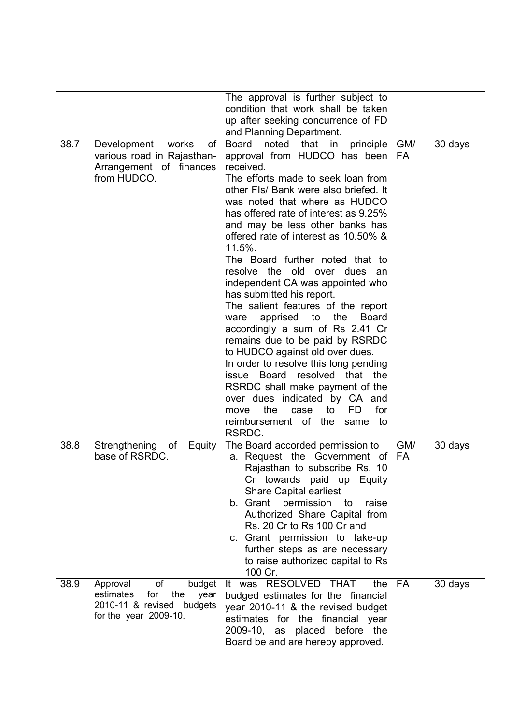|      |                                                       | The approval is further subject to<br>condition that work shall be taken |           |         |
|------|-------------------------------------------------------|--------------------------------------------------------------------------|-----------|---------|
|      |                                                       |                                                                          |           |         |
|      |                                                       | up after seeking concurrence of FD                                       |           |         |
|      |                                                       | and Planning Department.                                                 |           |         |
| 38.7 | Development works<br>Οf                               | Board<br>noted<br>that in<br>principle                                   | GM/       | 30 days |
|      | various road in Rajasthan-                            | approval from HUDCO has been<br>received.                                | <b>FA</b> |         |
|      | Arrangement of finances<br>from HUDCO.                | The efforts made to seek loan from                                       |           |         |
|      |                                                       | other FIs/ Bank were also briefed. It                                    |           |         |
|      |                                                       | was noted that where as HUDCO                                            |           |         |
|      |                                                       | has offered rate of interest as 9.25%                                    |           |         |
|      |                                                       | and may be less other banks has                                          |           |         |
|      |                                                       | offered rate of interest as 10.50% &                                     |           |         |
|      |                                                       | 11.5%.                                                                   |           |         |
|      |                                                       | The Board further noted that to                                          |           |         |
|      |                                                       | resolve the old over dues an                                             |           |         |
|      |                                                       | independent CA was appointed who                                         |           |         |
|      |                                                       | has submitted his report.                                                |           |         |
|      |                                                       | The salient features of the report                                       |           |         |
|      |                                                       | apprised<br>to<br>the<br><b>Board</b><br>ware                            |           |         |
|      |                                                       | accordingly a sum of Rs 2.41 Cr                                          |           |         |
|      |                                                       | remains due to be paid by RSRDC                                          |           |         |
|      |                                                       | to HUDCO against old over dues.                                          |           |         |
|      |                                                       | In order to resolve this long pending                                    |           |         |
|      |                                                       | resolved that the<br>issue Board                                         |           |         |
|      |                                                       | RSRDC shall make payment of the                                          |           |         |
|      |                                                       | over dues indicated by CA and                                            |           |         |
|      |                                                       | the<br><b>FD</b><br>for<br>case<br>to<br>move                            |           |         |
|      |                                                       | reimbursement of the<br>same to<br>RSRDC.                                |           |         |
| 38.8 |                                                       |                                                                          | GM/       |         |
|      | of<br>Strengthening<br>Equity<br>base of RSRDC.       | The Board accorded permission to<br>a. Request the Government of         | <b>FA</b> | 30 days |
|      |                                                       | Rajasthan to subscribe Rs. 10                                            |           |         |
|      |                                                       | Cr towards paid up Equity                                                |           |         |
|      |                                                       | <b>Share Capital earliest</b>                                            |           |         |
|      |                                                       | b. Grant permission<br>to<br>raise                                       |           |         |
|      |                                                       | Authorized Share Capital from                                            |           |         |
|      |                                                       | Rs. 20 Cr to Rs 100 Cr and                                               |           |         |
|      |                                                       | c. Grant permission to take-up                                           |           |         |
|      |                                                       | further steps as are necessary                                           |           |         |
|      |                                                       | to raise authorized capital to Rs                                        |           |         |
|      |                                                       | 100 Cr.                                                                  |           |         |
| 38.9 | οf<br>Approval<br>budget                              | It was RESOLVED THAT<br>the                                              | FA        | 30 days |
|      | estimates<br>for<br>the<br>year                       | budged estimates for the financial                                       |           |         |
|      | 2010-11 & revised budgets<br>for the year $2009-10$ . | year 2010-11 & the revised budget                                        |           |         |
|      |                                                       | estimates for the financial year                                         |           |         |
|      |                                                       | 2009-10, as placed before the                                            |           |         |
|      |                                                       | Board be and are hereby approved.                                        |           |         |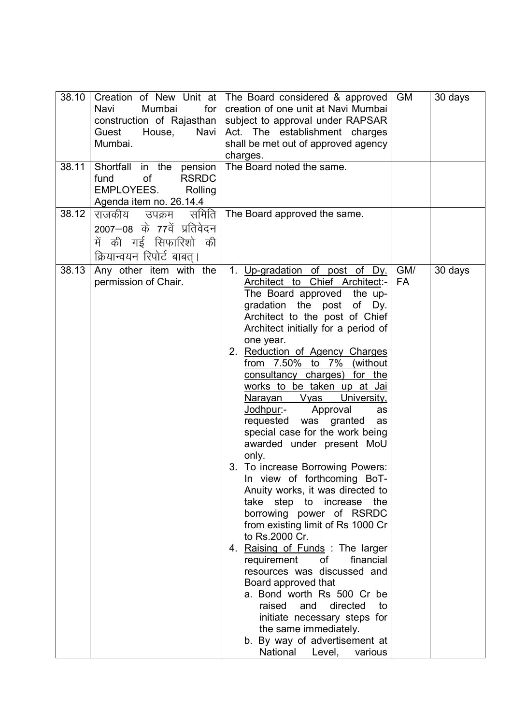| 38.10<br>38.11<br>38.12 | Mumbai<br>for <sub>1</sub><br>Navi<br>construction of Rajasthan  <br>Guest<br>House,<br>Navi<br>Mumbai.<br>Shortfall in the pension<br><b>of</b><br><b>RSRDC</b><br>fund<br>EMPLOYEES.<br>Rolling<br>Agenda item no. 26.14.4<br>राजकीय<br>समिति  <br>उपक्रम<br>2007—08 के 77वें प्रतिवेदन<br>में की गई सिफारिशो की<br>क्रियान्वयन रिपोर्ट बाबत्। | Creation of New Unit at   The Board considered & approved<br>creation of one unit at Navi Mumbai<br>subject to approval under RAPSAR<br>Act. The establishment charges<br>shall be met out of approved agency<br>charges.<br>The Board noted the same.<br>The Board approved the same.                                                                                                                                                                                                                                                                                                                                                                                                                                                                                                                                                                                                                                                                                                                                                                                                         | <b>GM</b>        | 30 days |
|-------------------------|--------------------------------------------------------------------------------------------------------------------------------------------------------------------------------------------------------------------------------------------------------------------------------------------------------------------------------------------------|------------------------------------------------------------------------------------------------------------------------------------------------------------------------------------------------------------------------------------------------------------------------------------------------------------------------------------------------------------------------------------------------------------------------------------------------------------------------------------------------------------------------------------------------------------------------------------------------------------------------------------------------------------------------------------------------------------------------------------------------------------------------------------------------------------------------------------------------------------------------------------------------------------------------------------------------------------------------------------------------------------------------------------------------------------------------------------------------|------------------|---------|
| 38.13                   | Any other item with the<br>permission of Chair.                                                                                                                                                                                                                                                                                                  | 1. Up-gradation of post of Dy.<br>Architect to Chief Architect:-<br>The Board approved the up-<br>gradation the post<br>of Dy.<br>Architect to the post of Chief<br>Architect initially for a period of<br>one year.<br>2. Reduction of Agency Charges<br>from 7.50% to 7% (without<br>consultancy charges) for the<br>works to be taken up at Jai<br>University,<br>Vyas<br><u>Narayan</u><br><u>Jodhpur</u> :-<br>Approval<br>as<br>was<br>granted<br>requested<br>as<br>special case for the work being<br>awarded under present MoU<br>only.<br>3. To increase Borrowing Powers:<br>In view of forthcoming BoT-<br>Anuity works, it was directed to<br>take step to increase the<br>borrowing power of RSRDC<br>from existing limit of Rs 1000 Cr<br>to Rs.2000 Cr.<br>4. Raising of Funds: The larger<br>0f<br>requirement<br>financial<br>resources was discussed and<br>Board approved that<br>a. Bond worth Rs 500 Cr be<br>directed<br>raised<br>and<br>to<br>initiate necessary steps for<br>the same immediately.<br>b. By way of advertisement at<br>National<br>Level,<br>various | GM/<br><b>FA</b> | 30 days |